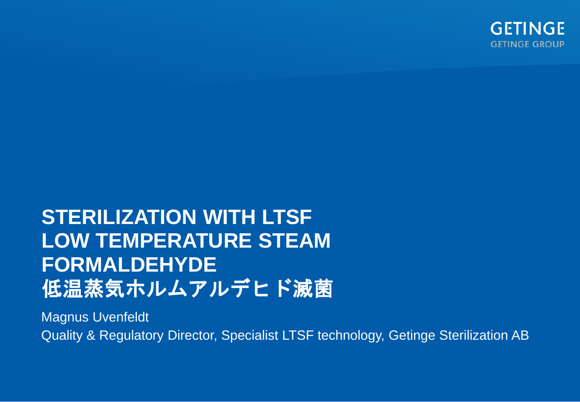

# **STERILIZATION WITH LTSF LOW TEMPERATURE STEAM FORMALDEHYDE** 低温蒸気ホルムアルデヒド滅菌

Magnus Uvenfeldt Quality & Regulatory Director, Specialist LTSF technology, Getinge Sterilization AB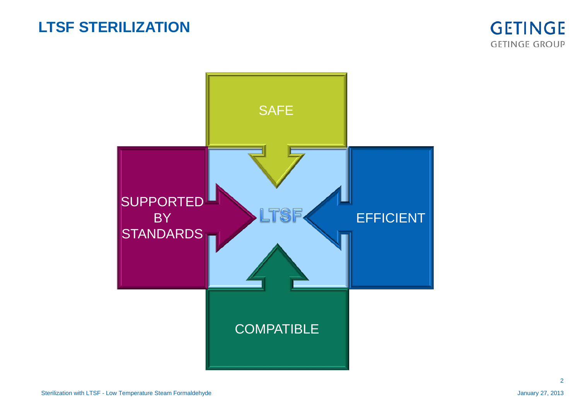## **LTSF STERILIZATION**





2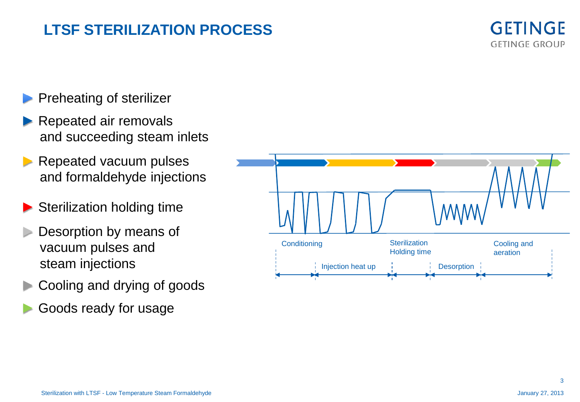## **LTSF STERILIZATION PROCESS**



- Preheating of sterilizer
- Repeated air removals and succeeding steam inlets
- ► Repeated vacuum pulses and formaldehyde injections
- Sterilization holding time
- Desorption by means of vacuum pulses and steam injections
- ► Cooling and drying of goods
- Goods ready for usage

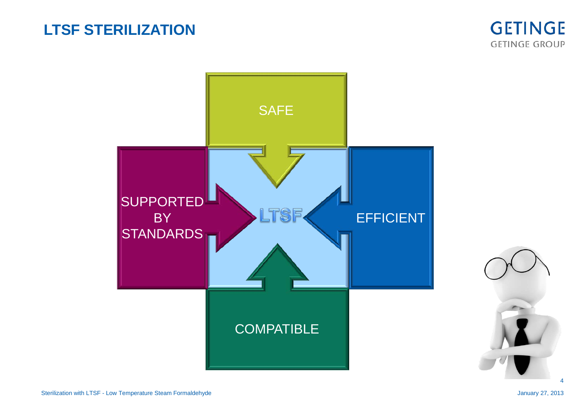## **LTSF STERILIZATION**





4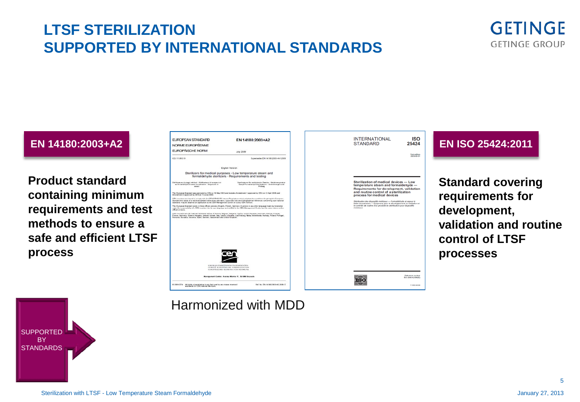## **LTSF STERILIZATION SUPPORTED BY INTERNATIONAL STANDARDS**



#### **EN 14180:2003**

**Product standard containing minimum requirements and test methods to ensure a safe and efficient LTSF process**



Sterilization of medical devices - Low temperature steam and formaldehyde — Requirements for development, validation<br>and routine control of a sterilization process for medical devices

150

**ISO** 

First edition<br>2009-09-01

Reference number

0150200

**Standard covering requirements for development, validation and routine control of LTSF processes**



### Harmonized with MDD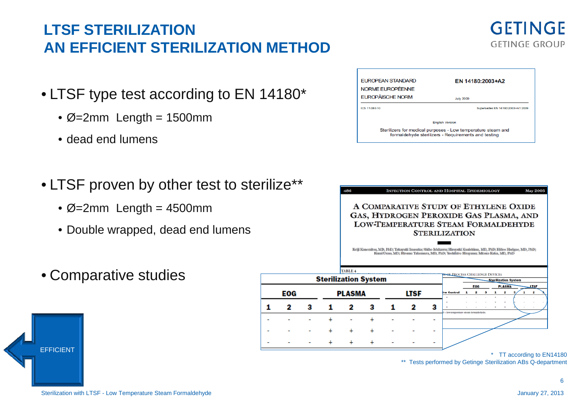## **LTSF STERILIZATION AN EFFICIENT STERILIZATION METHOD**

- LTSF type test according to EN 14180\*
	- $\varnothing$ =2mm Length = 1500mm
	- dead end lumens
- LTSF proven by other test to sterilize\*\*
	- $\varnothing$ =2mm Length = 4500mm
	- Double wrapped, dead end lumens
- Comparative studies

EFFICIENT



**EUROPEAN STANDARD** 

NORME EUROPÉENNE

186

| Supersedes EN 14180:2003+A1:2009                                                                                    |
|---------------------------------------------------------------------------------------------------------------------|
|                                                                                                                     |
|                                                                                                                     |
| Sterilizers for medical purposes - Low temperature steam and<br>formaldehyde sterilizers - Requirements and testing |
|                                                                                                                     |

**INFECTION CONTROL AND HOSPITAL EPIDEMIOLOGY** 

EN 14180:2003+A2





**May 2005**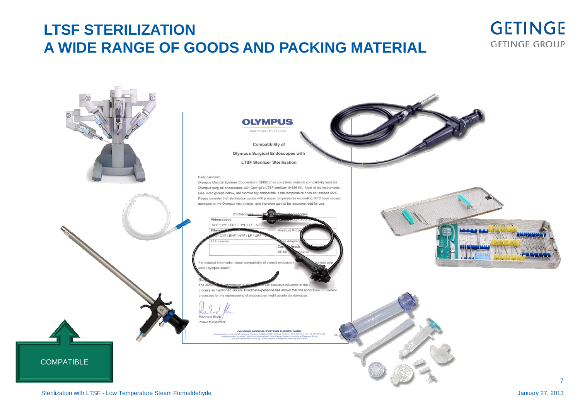## **LTSF STERILIZATION A WIDE RANGE OF GOODS AND PACKING MATERIAL**



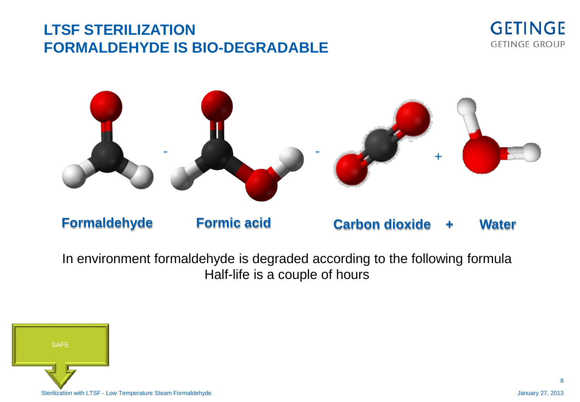## **LTSF STERILIZATION FORMALDEHYDE IS BIO-DEGRADABLE**





In environment formaldehyde is degraded according to the following formula Half-life is a couple of hours

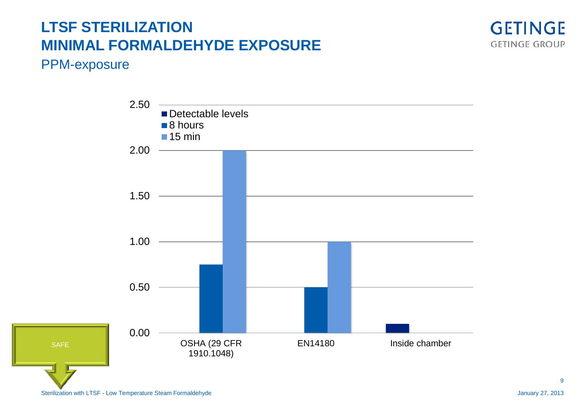## **LTSF STERILIZATION MINIMAL FORMALDEHYDE EXPOSURE**



#### PPM-exposure

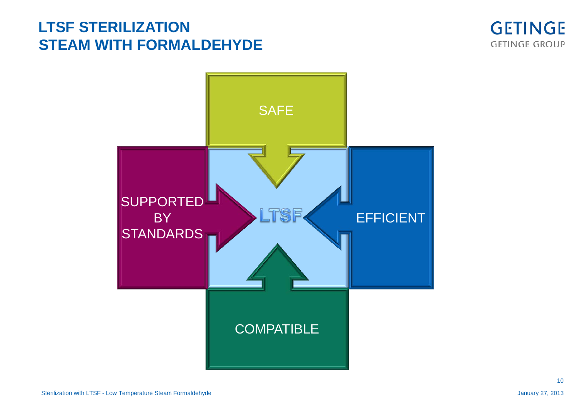## **LTSF STERILIZATION STEAM WITH FORMALDEHYDE**





10